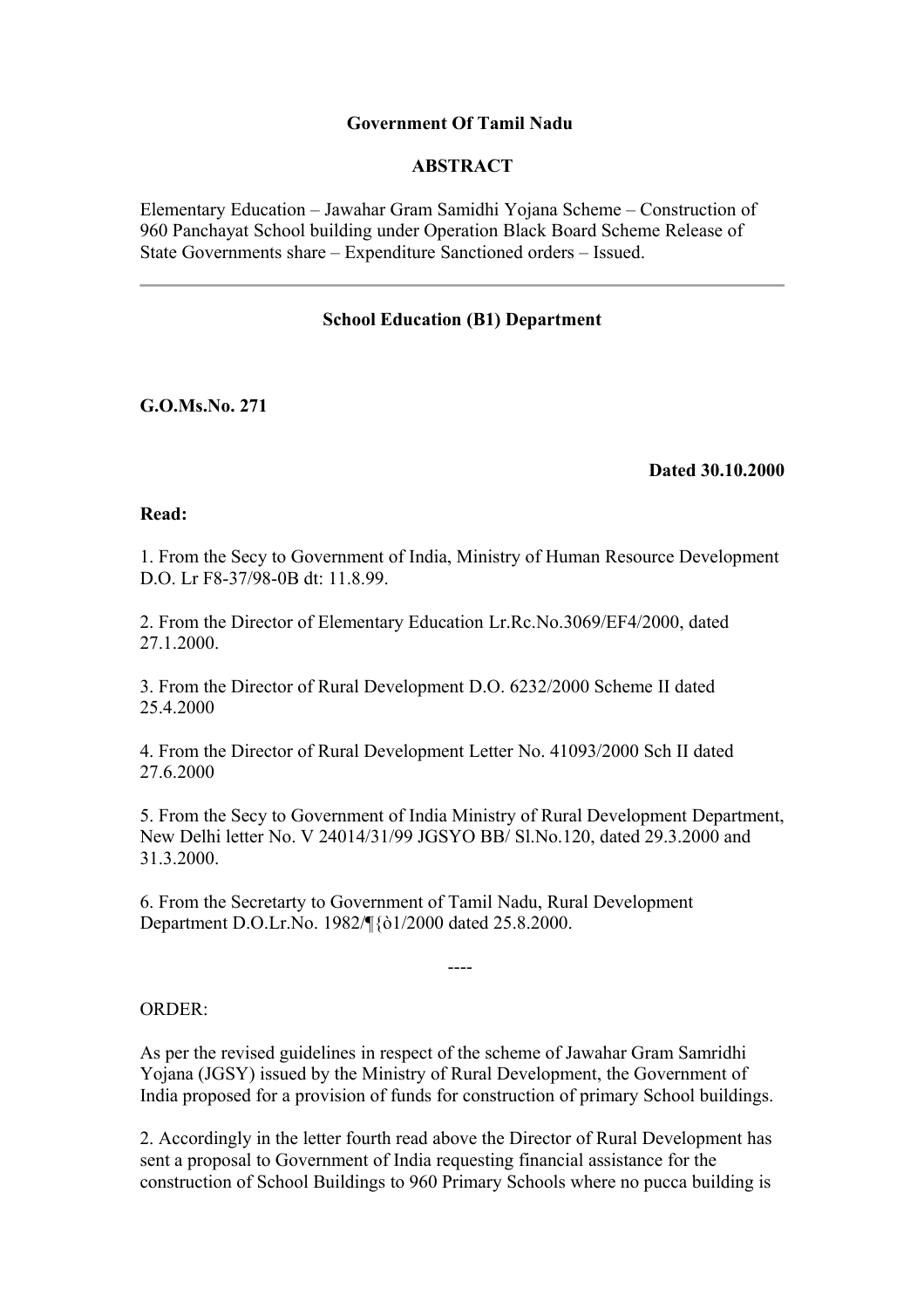## **Government Of Tamil Nadu**

### **ABSTRACT**

Elementary Education – Jawahar Gram Samidhi Yojana Scheme – Construction of 960 Panchayat School building under Operation Black Board Scheme Release of State Governments share – Expenditure Sanctioned orders – Issued.

## **School Education (B1) Department**

**G.O.Ms.No. 271**

#### **Dated 30.10.2000**

#### **Read:**

1. From the Secy to Government of India, Ministry of Human Resource Development D.O. Lr F8-37/98-0B dt: 11.8.99.

2. From the Director of Elementary Education Lr.Rc.No.3069/EF4/2000, dated 27.1.2000.

3. From the Director of Rural Development D.O. 6232/2000 Scheme II dated 25.4.2000

4. From the Director of Rural Development Letter No. 41093/2000 Sch II dated 27.6.2000

5. From the Secy to Government of India Ministry of Rural Development Department, New Delhi letter No. V 24014/31/99 JGSYO BB/ Sl.No.120, dated 29.3.2000 and 31.3.2000.

6. From the Secretarty to Government of Tamil Nadu, Rural Development Department D.O.Lr.No. 1982/¶{ò1/2000 dated 25.8.2000.

### ORDER:

As per the revised guidelines in respect of the scheme of Jawahar Gram Samridhi Yojana (JGSY) issued by the Ministry of Rural Development, the Government of India proposed for a provision of funds for construction of primary School buildings.

----

2. Accordingly in the letter fourth read above the Director of Rural Development has sent a proposal to Government of India requesting financial assistance for the construction of School Buildings to 960 Primary Schools where no pucca building is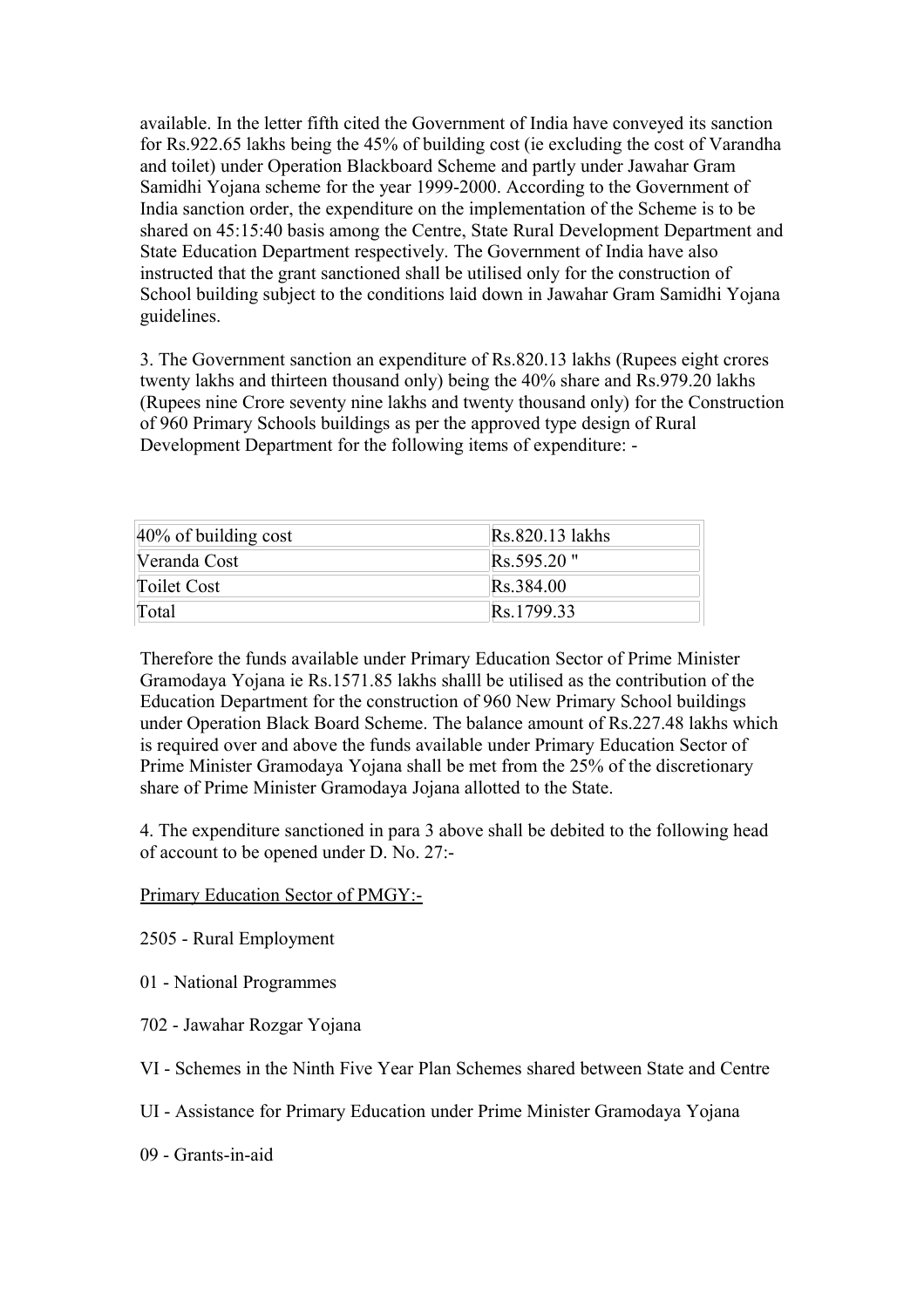available. In the letter fifth cited the Government of India have conveyed its sanction for Rs.922.65 lakhs being the 45% of building cost (ie excluding the cost of Varandha and toilet) under Operation Blackboard Scheme and partly under Jawahar Gram Samidhi Yojana scheme for the year 1999-2000. According to the Government of India sanction order, the expenditure on the implementation of the Scheme is to be shared on 45:15:40 basis among the Centre, State Rural Development Department and State Education Department respectively. The Government of India have also instructed that the grant sanctioned shall be utilised only for the construction of School building subject to the conditions laid down in Jawahar Gram Samidhi Yojana guidelines.

3. The Government sanction an expenditure of Rs.820.13 lakhs (Rupees eight crores twenty lakhs and thirteen thousand only) being the 40% share and Rs.979.20 lakhs (Rupees nine Crore seventy nine lakhs and twenty thousand only) for the Construction of 960 Primary Schools buildings as per the approved type design of Rural Development Department for the following items of expenditure: -

| 40% of building cost | Rs.820.13 lakhs |
|----------------------|-----------------|
| Veranda Cost         | $RS.595.20$ "   |
| <b>Toilet Cost</b>   | Rs.384.00       |
| Total                | Rs.1799.33      |

Therefore the funds available under Primary Education Sector of Prime Minister Gramodaya Yojana ie Rs.1571.85 lakhs shalll be utilised as the contribution of the Education Department for the construction of 960 New Primary School buildings under Operation Black Board Scheme. The balance amount of Rs.227.48 lakhs which is required over and above the funds available under Primary Education Sector of Prime Minister Gramodaya Yojana shall be met from the 25% of the discretionary share of Prime Minister Gramodaya Jojana allotted to the State.

4. The expenditure sanctioned in para 3 above shall be debited to the following head of account to be opened under D. No. 27:-

# Primary Education Sector of PMGY:-

- 2505 Rural Employment
- 01 National Programmes
- 702 Jawahar Rozgar Yojana
- VI Schemes in the Ninth Five Year Plan Schemes shared between State and Centre
- UI Assistance for Primary Education under Prime Minister Gramodaya Yojana
- 09 Grants-in-aid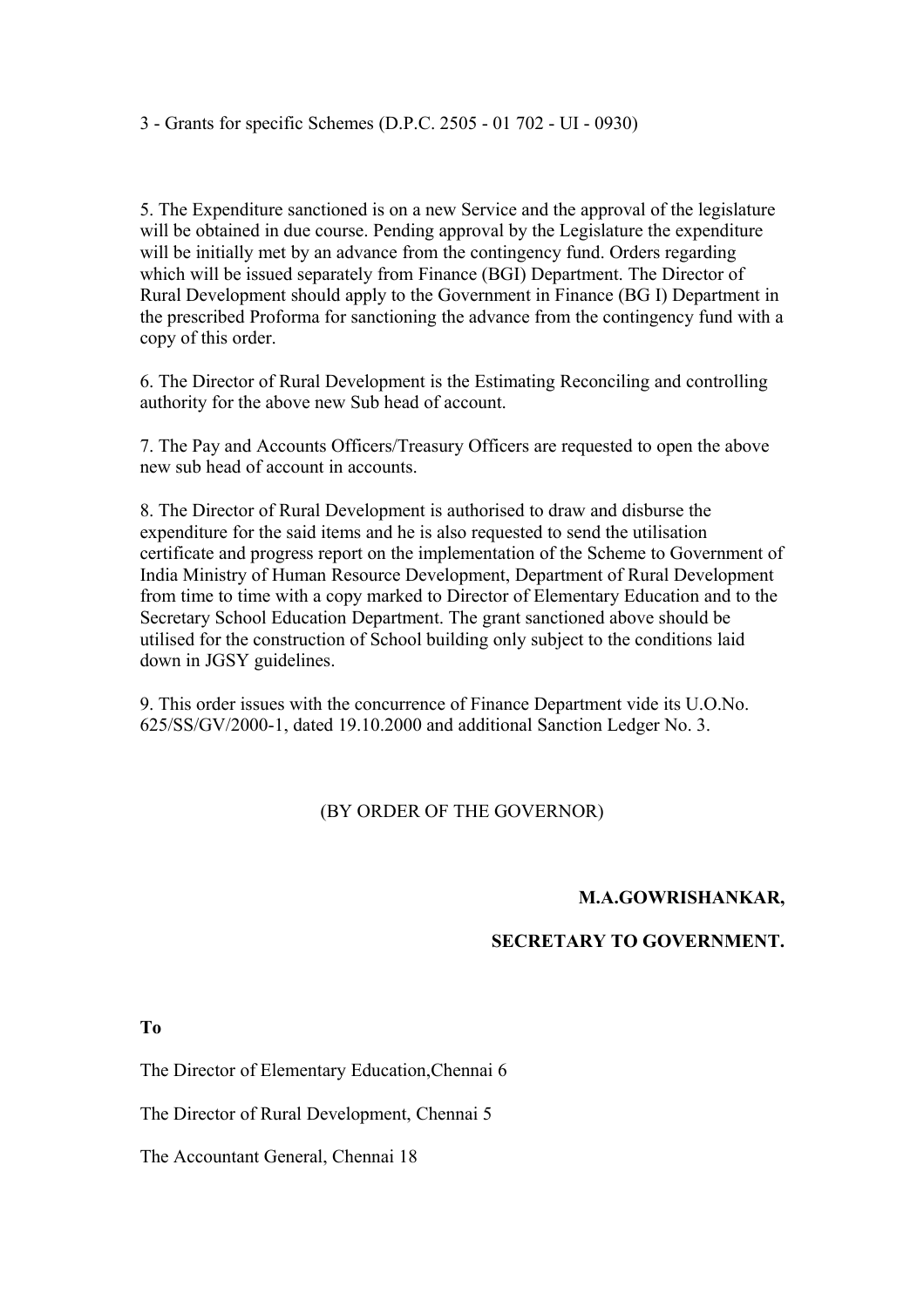### 3 - Grants for specific Schemes (D.P.C. 2505 - 01 702 - UI - 0930)

5. The Expenditure sanctioned is on a new Service and the approval of the legislature will be obtained in due course. Pending approval by the Legislature the expenditure will be initially met by an advance from the contingency fund. Orders regarding which will be issued separately from Finance (BGI) Department. The Director of Rural Development should apply to the Government in Finance (BG I) Department in the prescribed Proforma for sanctioning the advance from the contingency fund with a copy of this order.

6. The Director of Rural Development is the Estimating Reconciling and controlling authority for the above new Sub head of account.

7. The Pay and Accounts Officers/Treasury Officers are requested to open the above new sub head of account in accounts.

8. The Director of Rural Development is authorised to draw and disburse the expenditure for the said items and he is also requested to send the utilisation certificate and progress report on the implementation of the Scheme to Government of India Ministry of Human Resource Development, Department of Rural Development from time to time with a copy marked to Director of Elementary Education and to the Secretary School Education Department. The grant sanctioned above should be utilised for the construction of School building only subject to the conditions laid down in JGSY guidelines.

9. This order issues with the concurrence of Finance Department vide its U.O.No. 625/SS/GV/2000-1, dated 19.10.2000 and additional Sanction Ledger No. 3.

### (BY ORDER OF THE GOVERNOR)

### **M.A.GOWRISHANKAR,**

#### **SECRETARY TO GOVERNMENT.**

**To**

The Director of Elementary Education,Chennai 6

The Director of Rural Development, Chennai 5

The Accountant General, Chennai 18